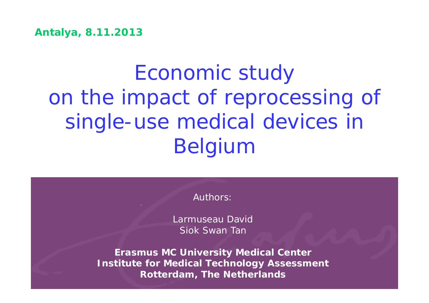**Antalya, 8.11.2013**

# Economic study on the impact of reprocessing of single-use medical devices in Belgium

Authors:

Larmuseau David Siok Swan Tan

**Erasmus MC University Medical Center Institute for Medical Technology Assessment Rotterdam, The Netherlands**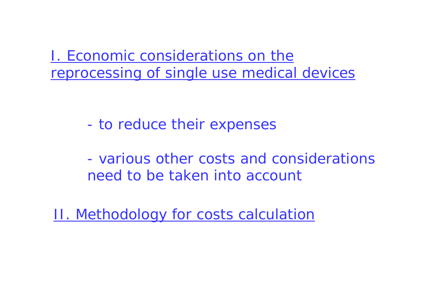I. Economic considerations on the reprocessing of single use medical devices

- to reduce their expenses

- various other costs and considerations need to be taken into account

II. Methodology for costs calculation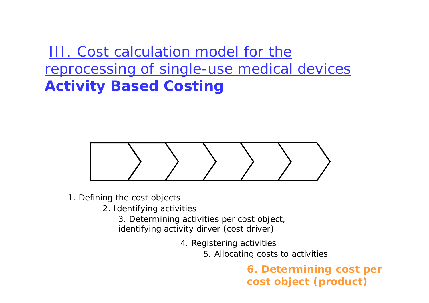III. Cost calculation model for the reprocessing of single-use medical devices **Activity Based Costing**



- 1. Defining the cost objects
	- 2. Identifying activities

3. Determining activities per cost object, identifying activity dirver (cost driver)

4. Registering activities

5. Allocating costs to activities

**6. Determining cost per cost object (product)**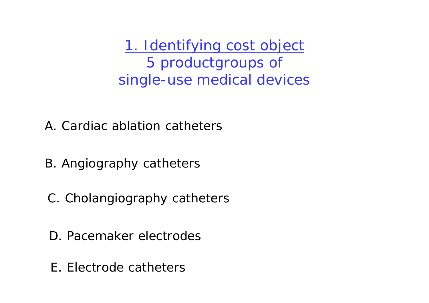1. Identifying cost object 5 productgroups of single-use medical devices

- A. Cardiac ablation catheters
- B. Angiography catheters
- C. Cholangiography catheters
- D. Pacemaker electrodes
- E. Electrode catheters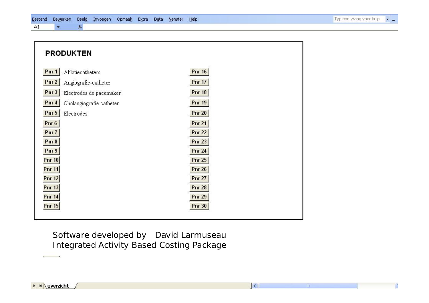| <b>PRODUKTEN</b>                                                                                                                                                                            |                                                                                                                                                       |
|---------------------------------------------------------------------------------------------------------------------------------------------------------------------------------------------|-------------------------------------------------------------------------------------------------------------------------------------------------------|
| PnI<br>Ablatiecatheters<br>Pnr2<br>Angiografie-catheter<br>Pnr3<br>Electrodes de pacemaker<br>Pnr4<br>Cholangiografie catheter<br>Pnr 5<br>Electrodes<br>Pnr $6$<br>Pnr 7<br>Pnr 8<br>Pnr 9 | <b>Pnr 16</b><br><b>Pnr 17</b><br><b>Pnr 18</b><br><b>Pnr 19</b><br><b>Pnr 20</b><br><b>Pnr 21</b><br><b>Pnr 22</b><br><b>Pnr 23</b><br><b>Pnr 24</b> |
| Pnr 10<br><b>Pnr 11</b><br><b>Pnr 12</b><br>Pnr $13$<br><b>Pnr 14</b><br>Pnr $15$                                                                                                           | <b>Pnr 25</b><br><b>Pnr 26</b><br><b>Pnr 27</b><br><b>Pnr 28</b><br><b>Pnr 29</b><br><b>Pnr 30</b>                                                    |

 $\vert \langle$ 

#### Software developed by David Larmuseau Integrated Activity Based Costing Package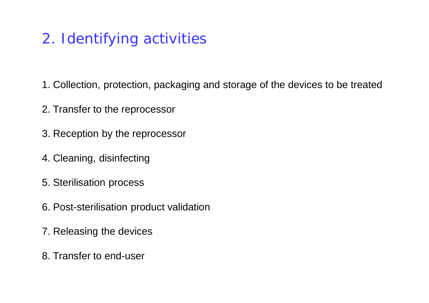## 2. Identifying activities

- 1. Collection, protection, packaging and storage of the devices to be treated
- 2. Transfer to the reprocessor
- 3. Reception by the reprocessor
- 4. Cleaning, disinfecting
- 5. Sterilisation process
- 6. Post-sterilisation product validation
- 7. Releasing the devices
- 8. Transfer to end-user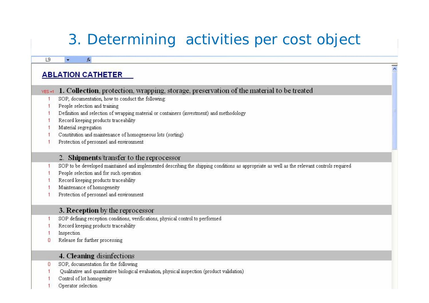# 3. Determining activities per cost object

|           | <b>ABLATION CATHETER</b>                                                                                                                   |  |  |
|-----------|--------------------------------------------------------------------------------------------------------------------------------------------|--|--|
|           |                                                                                                                                            |  |  |
| $YES = 1$ | 1. Collection, protection, wrapping, storage, preservation of the material to be treated                                                   |  |  |
|           | SOP, documentation, how to conduct the following:                                                                                          |  |  |
|           | People selection and training                                                                                                              |  |  |
|           | Definition and selection of wrapping material or containers (investment) and methodology                                                   |  |  |
|           | Record keeping products traceability                                                                                                       |  |  |
|           | Material segregation                                                                                                                       |  |  |
|           | Constitution and maintenance of homogeneous lots (sorting)                                                                                 |  |  |
|           | Protection of personnel and environment                                                                                                    |  |  |
|           | 2. Shipments/transfer to the reprocessor                                                                                                   |  |  |
|           | SOP to be developed maintained and implemented describing the shipping conditions as appropriate as well as the relevant controls required |  |  |
|           | People selection and for such operation                                                                                                    |  |  |
|           | Record keeping products traceability                                                                                                       |  |  |
|           | Maintenance of homogeneity                                                                                                                 |  |  |
|           | Protection of personnel and environment                                                                                                    |  |  |
|           | 3. Reception by the reprocessor                                                                                                            |  |  |
|           | SOP defining reception conditions, verifications, physical control to performed                                                            |  |  |
|           | Record keeping products traceability                                                                                                       |  |  |
|           | Inspection                                                                                                                                 |  |  |
| о         | Release for further processing                                                                                                             |  |  |
|           | 4. Cleaning disinfections                                                                                                                  |  |  |
| О         | SOP, documentation for the following                                                                                                       |  |  |
|           | Qualitative and quantitative biological evaluation, physical inspection (product validation)                                               |  |  |
|           | Control of lot homogenity                                                                                                                  |  |  |
|           | Operator selection                                                                                                                         |  |  |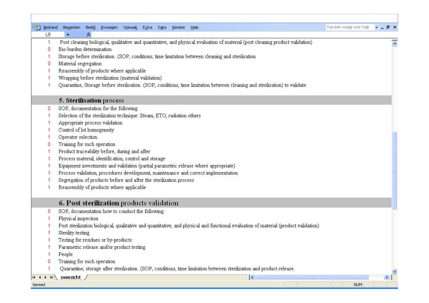| :国1<br>Bestand | <b>Bewerken</b><br>Beeld<br>Invoegen Opmaak<br>Extra<br>Data<br>Venster<br>Help                                                      | Typ een vraag voor hulp | a x             |
|----------------|--------------------------------------------------------------------------------------------------------------------------------------|-------------------------|-----------------|
| L9             | £                                                                                                                                    |                         |                 |
| 1              | Post cleaning biological, qualitative and quantitative, and physical evaluation of material (post cleaning product validation)       |                         |                 |
| O              | Bio-burden determination                                                                                                             |                         |                 |
|                | Storage before sterilisation. (SOP, conditions, time limitation between cleaning and sterilisation                                   |                         |                 |
| 0              | Material segregation                                                                                                                 |                         |                 |
|                | Reassembly of products where applicable                                                                                              |                         |                 |
|                | Wrapping before sterilization (material validation)                                                                                  |                         |                 |
|                | Quarantine, Storage before sterilisation. (SOP, conditions, time limitation between cleaning and sterilisation) to validate          |                         |                 |
|                | 5. Sterilisation process                                                                                                             |                         |                 |
| 0              | SOP, documentation for the following                                                                                                 |                         |                 |
|                | Selection of the sterilization technique: Steam, ETO, radiation others                                                               |                         |                 |
|                | Appropriate process validation                                                                                                       |                         |                 |
|                | Control of lot homogeneity                                                                                                           |                         |                 |
|                | Operator selection                                                                                                                   |                         |                 |
| 0              | Training for such operation                                                                                                          |                         |                 |
|                | Product traceability before, during and after                                                                                        |                         |                 |
|                | Process material, identification, control and storage                                                                                |                         |                 |
|                | Equipment investments and validation (partial parametric release where appropriate)                                                  |                         |                 |
|                | Process validation, procedures development, maintenance and correct implementation                                                   |                         |                 |
|                | Segregation of products before and after the sterilization process                                                                   |                         |                 |
|                | Reassembly of products where applicable                                                                                              |                         |                 |
|                | 6. Post sterilization products validation                                                                                            |                         |                 |
| 0              | SOP, documentation how to conduct the following                                                                                      |                         |                 |
|                | Physical inspection                                                                                                                  |                         |                 |
|                | Post sterilization biological, qualitative and quantitative, and physical and functional evaluation of material (product validation) |                         |                 |
|                | Sterility testing                                                                                                                    |                         |                 |
|                | Testing for residues or by-products                                                                                                  |                         |                 |
|                | Parametric release and/or product testing                                                                                            |                         |                 |
|                | People                                                                                                                               |                         |                 |
| 0              | Training for such operation                                                                                                          |                         |                 |
|                | Quarantine, storage after sterilisation. (SOP, conditions, time limitation between sterilization and product release.                |                         |                 |
|                | overzicht<br>$\vert \langle$<br>Ш                                                                                                    |                         | $\vert \rangle$ |
| Gereed         |                                                                                                                                      | <b>NUM</b>              |                 |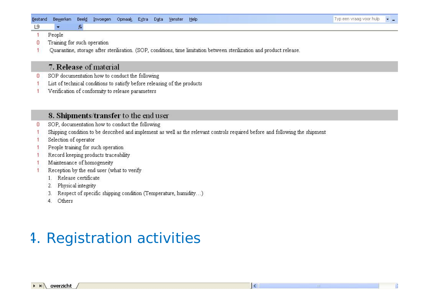#### Bestand Bewerken Beeld Invoegen Opmaak Extra Data Venster Help

People  $\overline{1}$ 

19

Training for such operation n

 $f_{\mathbf{x}}$ 

Quarantine, storage after sterilisation. (SOP, conditions, time limitation between sterilization and product release.  $\overline{1}$ 

#### 7. Release of material

- SOP documentation how to conduct the following Ω
- List of technical conditions to satisfy before releasing of the products
- Verification of conformity to release parameters

#### 8. Shipments/transfer to the end user

- SOP, documentation how to conduct the following n
- Shipping condition to be described and implement as well as the relevant controls required before and following the shipment
- Selection of operator
- People training for such operation
- Record keeping products traceability
- Maintenance of homogeneity
- Reception by the end user (what to verify
	- 1. Release certificate
	- Physical integrity 2.
	- Respect of specific shipping condition (Temperature, humidity...) 3.
	- Others  $\overline{4}$

#### 4. Registration activities

 $\vert \langle$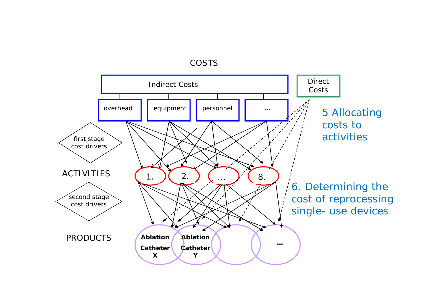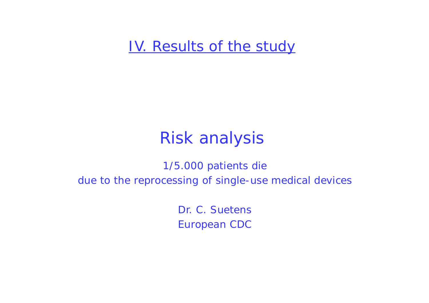IV. Results of the study

# Risk analysis

1/5.000 patients die due to the reprocessing of single-use medical devices

> Dr. C. Suetens European CDC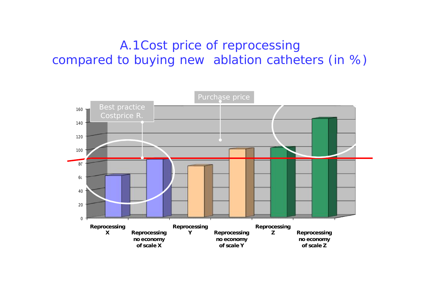#### A.1Cost price of reprocessing compared to buying new ablation catheters (in %)

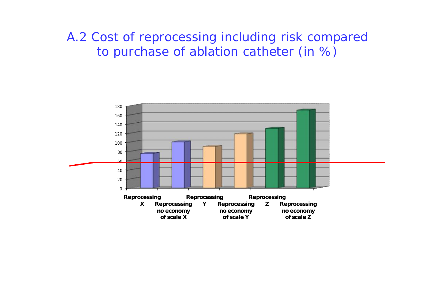#### A.2 Cost of reprocessing including risk compared to purchase of ablation catheter (in %)

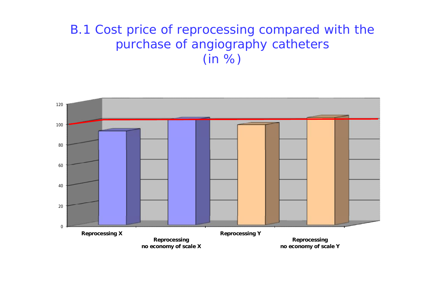#### B.1 Cost price of reprocessing compared with the purchase of angiography catheters (in %)

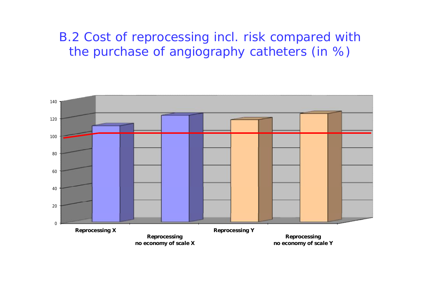#### B.2 Cost of reprocessing incl. risk compared with the purchase of angiography catheters (in %)

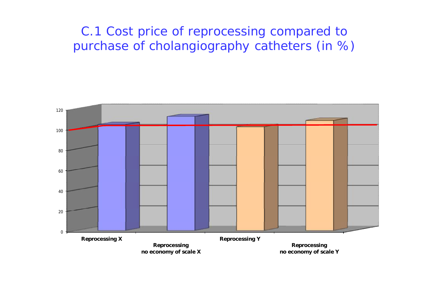#### C.1 Cost price of reprocessing compared to purchase of cholangiography catheters (in %)

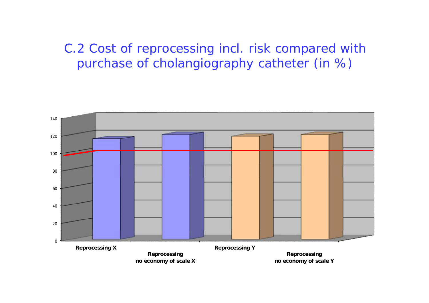#### C.2 Cost of reprocessing incl. risk compared with purchase of cholangiography catheter (in %)

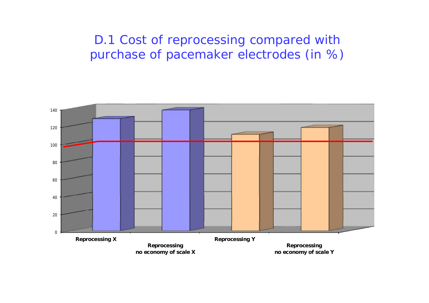D.1 Cost of reprocessing compared with purchase of pacemaker electrodes (in %)

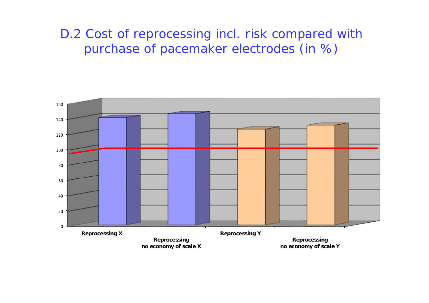#### D.2 Cost of reprocessing incl. risk compared with purchase of pacemaker electrodes (in %)

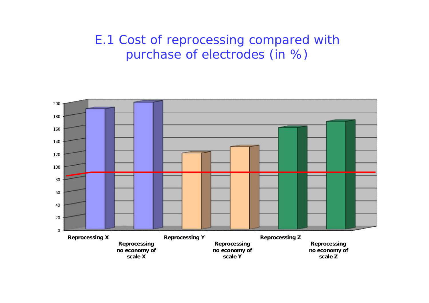#### E.1 Cost of reprocessing compared with purchase of electrodes (in %)

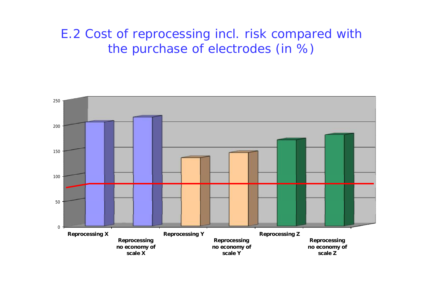#### E.2 Cost of reprocessing incl. risk compared with the purchase of electrodes (in %)